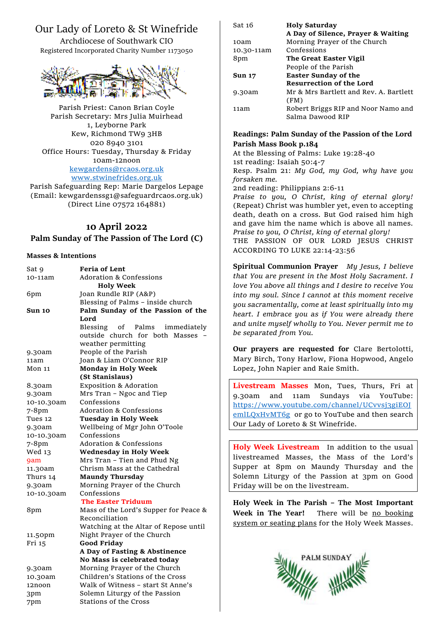# Our Lady of Loreto & St Winefride

Archdiocese of Southwark CIO Registered Incorporated Charity Number 1173050



Parish Priest: Canon Brian Coyle Parish Secretary: Mrs Julia Muirhead 1, Leyborne Park Kew, Richmond TW9 3HB 020 8940 3101 Office Hours: Tuesday, Thursday & Friday 10am-12noon [kewgardens@rcaos.org.uk](mailto:kewgardens@rcaos.org.uk) [www.stwinefrides.org.uk](http://www.stwinefrides.org.uk/)

Parish Safeguarding Rep: Marie Dargelos Lepage (Email: kewgardenssg1@safeguardrcaos.org.uk) (Direct Line 07572 164881)

# **10 April 2022**

## **Palm Sunday of The Passion of The Lord (C)**

#### **Masses & Intentions**

| Sat 9      | <b>Feria of Lent</b>                   |
|------------|----------------------------------------|
| 10-11am    | <b>Adoration &amp; Confessions</b>     |
|            | <b>Holy Week</b>                       |
| 6pm        | Joan Rundle RIP (A&P)                  |
|            | Blessing of Palms - inside church      |
| Sun 10     | Palm Sunday of the Passion of the      |
|            | Lord                                   |
|            | Blessing<br>of<br>Palms<br>immediately |
|            | outside church for both Masses         |
|            | weather permitting                     |
| 9.30am     | People of the Parish                   |
| 11am       | Joan & Liam O'Connor RIP               |
| Mon 11     | <b>Monday in Holy Week</b>             |
|            | (St Stanislaus)                        |
| 8.30am     | <b>Exposition &amp; Adoration</b>      |
| 9.30am     | Mrs Tran - Ngoc and Tiep               |
| 10-10.30am | Confessions                            |
| 7-8pm      | <b>Adoration &amp; Confessions</b>     |
| Tues 12    | <b>Tuesday in Holy Week</b>            |
| 9.30am     | Wellbeing of Mgr John O'Toole          |
| 10-10.30am | Confessions                            |
| 7-8pm      | Adoration & Confessions                |
| Wed 13     | <b>Wednesday in Holy Week</b>          |
| 9am        | Mrs Tran - Tien and Phud Ng            |
| 11.30am    | Chrism Mass at the Cathedral           |
| Thurs 14   | <b>Maundy Thursday</b>                 |
| 9.30am     | Morning Prayer of the Church           |
| 10-10.30am | Confessions                            |
|            | <b>The Easter Triduum</b>              |
| 8pm        | Mass of the Lord's Supper for Peace &  |
|            | Reconciliation                         |
|            | Watching at the Altar of Repose until  |
| 11.50pm    | Night Prayer of the Church             |
| Fri 15     | <b>Good Friday</b>                     |
|            | A Day of Fasting & Abstinence          |
|            | No Mass is celebrated today            |
| 9.30am     | Morning Prayer of the Church           |
| 10.30am    | Children's Stations of the Cross       |
| 12noon     | Walk of Witness - start St Anne's      |
| 3pm        | Solemn Liturgy of the Passion          |
| 7pm        | <b>Stations of the Cross</b>           |

| Sat 16        | <b>Holy Saturday</b>                   |
|---------------|----------------------------------------|
|               | A Day of Silence, Prayer & Waiting     |
| 10am          | Morning Prayer of the Church           |
| 10.30-11am    | Confessions                            |
| 8pm           | The Great Easter Vigil                 |
|               | People of the Parish                   |
| <b>Sun 17</b> | <b>Easter Sunday of the</b>            |
|               | <b>Resurrection of the Lord</b>        |
| 9.30am        | Mr & Mrs Bartlett and Rev. A. Bartlett |
|               | (FM)                                   |
| 11am          | Robert Briggs RIP and Noor Namo and    |
|               | Salma Dawood RIP                       |

#### **Readings: Palm Sunday of the Passion of the Lord Parish Mass Book p.184**

At the Blessing of Palms: Luke 19:28-40 1st reading: Isaiah 50:4-7

Resp. Psalm 21: *My God, my God, why have you forsaken me.*

2nd reading: Philippians 2:6-11

*Praise to you, O Christ, king of eternal glory!* (Repeat) Christ was humbler yet, even to accepting death, death on a cross. But God raised him high and gave him the name which is above all names. *Praise to you, O Christ, king of eternal glory!* THE PASSION OF OUR LORD JESUS CHRIST

ACCORDING TO LUKE 22:14-23:56

**Spiritual Communion Prayer** *My Jesus, I believe that You are present in the Most Holy Sacrament. I love You above all things and I desire to receive You into my soul. Since I cannot at this moment receive you sacramentally, come at least spiritually into my heart. I embrace you as if You were already there and unite myself wholly to You. Never permit me to be separated from You.*

**Our prayers are requested for** Clare Bertolotti, Mary Birch, Tony Harlow, Fiona Hopwood, Angelo Lopez, John Napier and Raie Smith.

**Livestream Masses** Mon, Tues, Thurs, Fri at 9.30am and 11am Sundays via YouTube: [https://www.youtube.com/channel/UCvvsj3giEOJ](https://www.youtube.com/channel/UCvvsj3giEOJemlLQxHvMT6g) [emlLQxHvMT6g](https://www.youtube.com/channel/UCvvsj3giEOJemlLQxHvMT6g) or go to YouTube and then search Our Lady of Loreto & St Winefride.

**Holy Week Livestream** In addition to the usual livestreamed Masses, the Mass of the Lord's Supper at 8pm on Maundy Thursday and the Solemn Liturgy of the Passion at 3pm on Good Friday will be on the livestream.

**Holy Week in The Parish – The Most Important**  Week in The Year! There will be no booking system or seating plans for the Holy Week Masses.

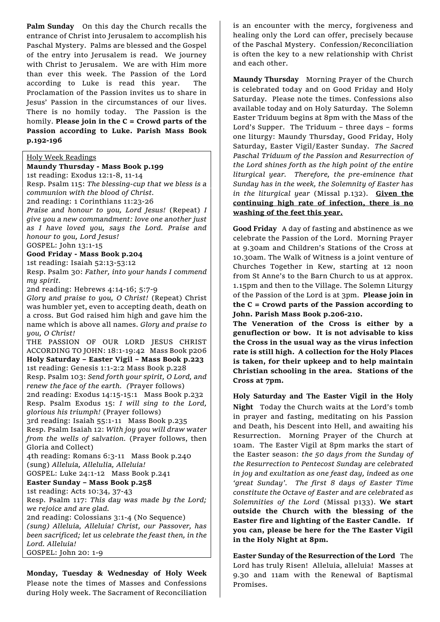**Palm Sunday**On this day the Church recalls the entrance of Christ into Jerusalem to accomplish his Paschal Mystery. Palms are blessed and the Gospel of the entry into Jerusalem is read. We journey with Christ to Jerusalem. We are with Him more than ever this week. The Passion of the Lord according to Luke is read this year. The Proclamation of the Passion invites us to share in Jesus' Passion in the circumstances of our lives. There is no homily today. The Passion is the homily. **Please join in the C = Crowd parts of the Passion according to Luke. Parish Mass Book p.192-196**

#### Holy Week Readings

**Maundy Thursday - Mass Book p.199** 1st reading: Exodus 12:1-8, 11-14 Resp. Psalm 115: *The blessing-cup that we bless is a communion with the blood of Christ.* 2nd reading: 1 Corinthians 11:23-26 *Praise and honour to you, Lord Jesus!* (Repeat) *I give you a new commandment: love one another just as I have loved you, says the Lord. Praise and honour to you, Lord Jesus!* GOSPEL: John 13:1-15 **Good Friday - Mass Book p.204** 1st reading: Isaiah 52:13-53:12 Resp. Psalm 30: *Father, into your hands I commend my spirit.* 2nd reading: Hebrews 4:14-16; 5:7-9 *Glory and praise to you, O Christ!* (Repeat) Christ was humbler yet, even to accepting death, death on a cross. But God raised him high and gave him the name which is above all names. *Glory and praise to you, O Christ!* THE PASSION OF OUR LORD JESUS CHRIST ACCORDING TO JOHN: 18:1-19:42 Mass Book p206 **Holy Saturday – Easter Vigil – Mass Book p.223** 1st reading: Genesis 1:1-2:2 Mass Book p.228 Resp. Psalm 103: *Send forth your spirit, O Lord, and renew the face of the earth. (*Prayer follows) 2nd reading: Exodus 14:15-15:1 Mass Book p.232 Resp. Psalm Exodus 15: *I will sing to the Lord, glorious his triumph!* (Prayer follows) 3rd reading: Isaiah 55:1-11 Mass Book p.235 Resp. Psalm Isaiah 12: *With joy you will draw water from the wells of salvation.* (Prayer follows, then Gloria and Collect) 4th reading: Romans 6:3-11 Mass Book p.240 (sung) *Alleluia, Allelulia, Alleluia!* GOSPEL: Luke 24:1-12 Mass Book p.241 **Easter Sunday – Mass Book p.258** 1st reading: Acts 10:34, 37-43 Resp. Psalm 117: *This day was made by the Lord; we rejoice and are glad.* 2nd reading: Colossians 3:1-4 (No Sequence) *(sung) Alleluia, Alleluia! Christ, our Passover, has been sacrificed; let us celebrate the feast then, in the Lord. Alleluia!* GOSPEL: John 20: 1-9

**Monday, Tuesday & Wednesday of Holy Week**  Please note the times of Masses and Confessions during Holy week. The Sacrament of Reconciliation

is an encounter with the mercy, forgiveness and healing only the Lord can offer, precisely because of the Paschal Mystery. Confession/Reconciliation is often the key to a new relationship with Christ and each other.

**Maundy Thursday** Morning Prayer of the Church is celebrated today and on Good Friday and Holy Saturday. Please note the times. Confessions also available today and on Holy Saturday. The Solemn Easter Triduum begins at 8pm with the Mass of the Lord's Supper. The Triduum – three days – forms one liturgy: Maundy Thursday, Good Friday, Holy Saturday, Easter Vigil/Easter Sunday.*The Sacred Paschal Triduum of the Passion and Resurrection of the Lord shines forth as the high point of the entire liturgical year. Therefore, the pre-eminence that Sunday has in the week, the Solemnity of Easter has in the liturgical year* (Missal p.132). **Given the continuing high rate of infection, there is no washing of the feet this year.**

**Good Friday** A day of fasting and abstinence as we celebrate the Passion of the Lord. Morning Prayer at 9.30am and Children's Stations of the Cross at 10.30am. The Walk of Witness is a joint venture of Churches Together in Kew, starting at 12 noon from St Anne's to the Barn Church to us at approx. 1.15pm and then to the Village. The Solemn Liturgy of the Passion of the Lord is at 3pm. **Please join in the C = Crowd parts of the Passion according to John. Parish Mass Book p.206-210.**

**The Veneration of the Cross is either by a genuflection or bow. It is not advisable to kiss the Cross in the usual way as the virus infection rate is still high. A collection for the Holy Places is taken, for their upkeep and to help maintain Christian schooling in the area. Stations of the Cross at 7pm.**

**Holy Saturday and The Easter Vigil in the Holy Night** Today the Church waits at the Lord's tomb in prayer and fasting, meditating on his Passion and Death, his Descent into Hell, and awaiting his Resurrection. Morning Prayer of the Church at 10am. The Easter Vigil at 8pm marks the start of the Easter season: *the 50 days from the Sunday of the Resurrection to Pentecost Sunday are celebrated in joy and exultation as one feast day, indeed as one 'great Sunday'. The first 8 days of Easter Time constitute the Octave of Easter and are celebrated as Solemnities of the Lord* (Missal p133). **We start outside the Church with the blessing of the Easter fire and lighting of the Easter Candle. If you can, please be here for the The Easter Vigil in the Holy Night at 8pm.**

**Easter Sunday of the Resurrection of the Lord** The Lord has truly Risen! Alleluia, alleluia! Masses at 9.30 and 11am with the Renewal of Baptismal Promises.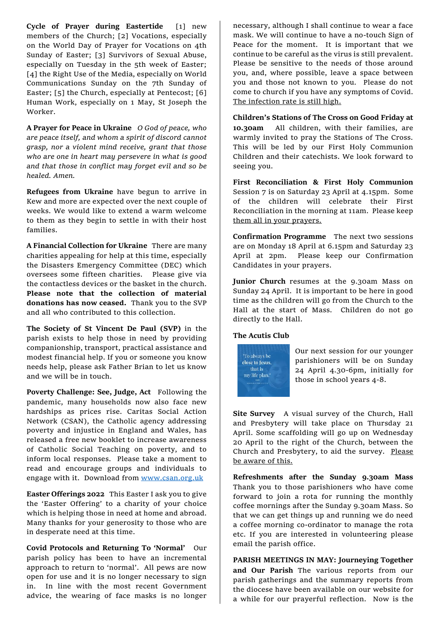**Cycle of Prayer during Eastertide** [1] new members of the Church; [2] Vocations, especially on the World Day of Prayer for Vocations on 4th Sunday of Easter; [3] Survivors of Sexual Abuse, especially on Tuesday in the 5th week of Easter; [4] the Right Use of the Media, especially on World Communications Sunday on the 7th Sunday of Easter; [5] the Church, especially at Pentecost; [6] Human Work, especially on 1 May, St Joseph the Worker.

**A Prayer for Peace in Ukraine** *O God of peace, who are peace itself, and whom a spirit of discord cannot grasp, nor a violent mind receive, grant that those who are one in heart may persevere in what is good and that those in conflict may forget evil and so be healed. Amen.* 

**Refugees from Ukraine** have begun to arrive in Kew and more are expected over the next couple of weeks. We would like to extend a warm welcome to them as they begin to settle in with their host families.

**A Financial Collection for Ukraine** There are many charities appealing for help at this time, especially the Disasters Emergency Committee (DEC) which oversees some fifteen charities. Please give via the contactless devices or the basket in the church. **Please note that the collection of material donations has now ceased.** Thank you to the SVP and all who contributed to this collection.

**The Society of St Vincent De Paul (SVP)** in the parish exists to help those in need by providing companionship, transport, practical assistance and modest financial help. If you or someone you know needs help, please ask Father Brian to let us know and we will be in touch.

**Poverty Challenge: See, Judge, Act** Following the pandemic, many households now also face new hardships as prices rise. Caritas Social Action Network (CSAN), the Catholic agency addressing poverty and injustice in England and Wales, has released a free new booklet to increase awareness of Catholic Social Teaching on poverty, and to inform local responses. Please take a moment to read and encourage groups and individuals to engage with it. Download from [www.csan.org.uk](http://www.csan.org.uk/)

**Easter Offerings 2022** This Easter I ask you to give the 'Easter Offering' to a charity of your choice which is helping those in need at home and abroad. Many thanks for your generosity to those who are in desperate need at this time.

**Covid Protocols and Returning To 'Normal'** Our parish policy has been to have an incremental approach to return to 'normal'. All pews are now open for use and it is no longer necessary to sign in. In line with the most recent Government advice, the wearing of face masks is no longer

necessary, although I shall continue to wear a face mask. We will continue to have a no-touch Sign of Peace for the moment. It is important that we continue to be careful as the virus is still prevalent. Please be sensitive to the needs of those around you, and, where possible, leave a space between you and those not known to you. Please do not come to church if you have any symptoms of Covid. The infection rate is still high.

**Children's Stations of The Cross on Good Friday at 10.30am** All children, with their families, are warmly invited to pray the Stations of The Cross. This will be led by our First Holy Communion Children and their catechists. We look forward to seeing you.

**First Reconciliation & First Holy Communion**  Session 7 is on Saturday 23 April at 4.15pm. Some of the children will celebrate their First Reconciliation in the morning at 11am. Please keep them all in your prayers.

**Confirmation Programme** The next two sessions are on Monday 18 April at 6.15pm and Saturday 23 April at 2pm. Please keep our Confirmation Candidates in your prayers.

**Junior Church** resumes at the 9.30am Mass on Sunday 24 April. It is important to be here in good time as the children will go from the Church to the Hall at the start of Mass. Children do not go directly to the Hall.

#### **The Acutis Club**



Our next session for our younger parishioners will be on Sunday 24 April 4.30-6pm, initially for those in school years 4-8.

**Site Survey** A visual survey of the Church, Hall and Presbytery will take place on Thursday 21 April. Some scaffolding will go up on Wednesday 20 April to the right of the Church, between the Church and Presbytery, to aid the survey. Please be aware of this.

**Refreshments after the Sunday 9.30am Mass**  Thank you to those parishioners who have come forward to join a rota for running the monthly coffee mornings after the Sunday 9.30am Mass. So that we can get things up and running we do need a coffee morning co-ordinator to manage the rota etc. If you are interested in volunteering please email the parish office.

**PARISH MEETINGS IN MAY: Journeying Together and Our Parish** The various reports from our parish gatherings and the summary reports from the diocese have been available on our website for a while for our prayerful reflection. Now is the